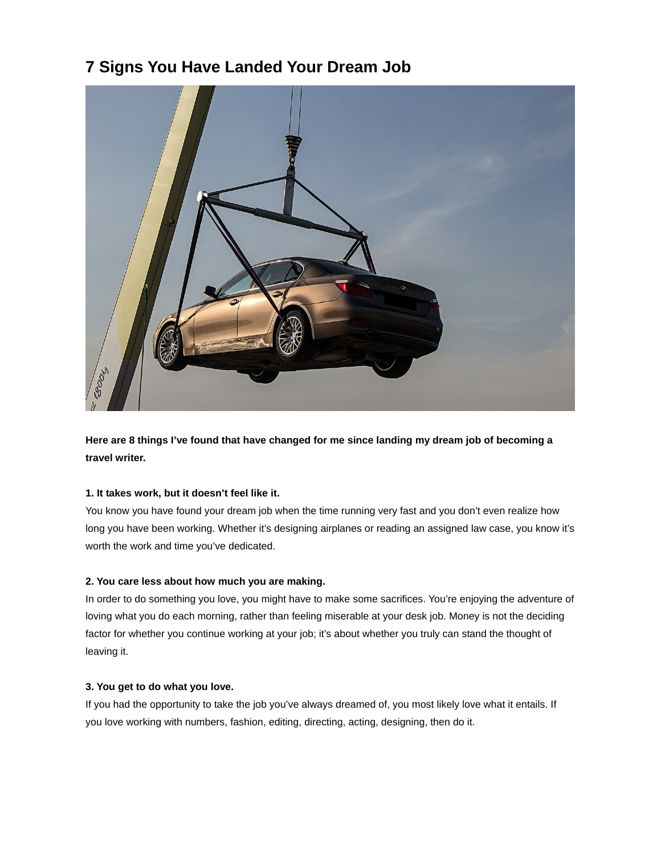# **7 Signs You Have Landed Your Dream Job**



**Here are 8 things I've found that have changed for me since landing my dream job of becoming a travel writer.**

# **1. It takes work, but it doesn't feel like it.**

You know you have found your dream job when the time running very fast and you don't even realize how long you have been working. Whether it's designing airplanes or reading an assigned law case, you know it's worth the work and time you've dedicated.

# **2. You care less about how much you are making.**

In order to do something you love, you might have to make some sacrifices. You're enjoying the adventure of loving what you do each morning, rather than feeling miserable at your desk job. Money is not the deciding factor for whether you continue working at your job; it's about whether you truly can stand the thought of leaving it.

# **3. You get to do what you love.**

If you had the opportunity to take the job you've always dreamed of, you most likely love what it entails. If you love working with numbers, fashion, editing, directing, acting, designing, then do it.